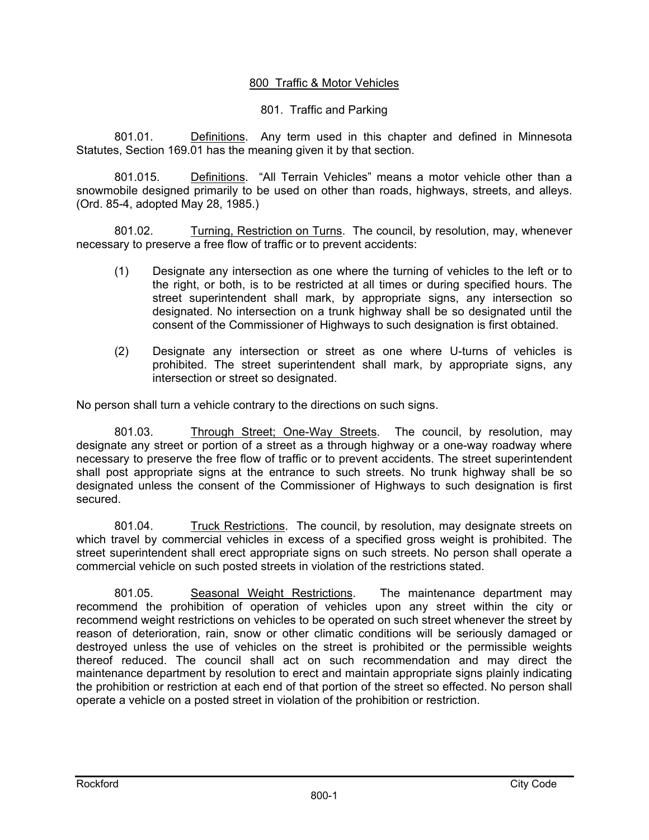## 800 Traffic & Motor Vehicles

## 801. Traffic and Parking

801.01. Definitions. Any term used in this chapter and defined in Minnesota Statutes, Section 169.01 has the meaning given it by that section.

801.015. Definitions. "All Terrain Vehicles" means a motor vehicle other than a snowmobile designed primarily to be used on other than roads, highways, streets, and alleys. (Ord. 85-4, adopted May 28, 1985.)

801.02. Turning, Restriction on Turns. The council, by resolution, may, whenever necessary to preserve a free flow of traffic or to prevent accidents:

- (1) Designate any intersection as one where the turning of vehicles to the left or to the right, or both, is to be restricted at all times or during specified hours. The street superintendent shall mark, by appropriate signs, any intersection so designated. No intersection on a trunk highway shall be so designated until the consent of the Commissioner of Highways to such designation is first obtained.
- (2) Designate any intersection or street as one where U-turns of vehicles is prohibited. The street superintendent shall mark, by appropriate signs, any intersection or street so designated.

No person shall turn a vehicle contrary to the directions on such signs.

801.03. Through Street; One-Way Streets. The council, by resolution, may designate any street or portion of a street as a through highway or a one-way roadway where necessary to preserve the free flow of traffic or to prevent accidents. The street superintendent shall post appropriate signs at the entrance to such streets. No trunk highway shall be so designated unless the consent of the Commissioner of Highways to such designation is first secured.

801.04. Truck Restrictions. The council, by resolution, may designate streets on which travel by commercial vehicles in excess of a specified gross weight is prohibited. The street superintendent shall erect appropriate signs on such streets. No person shall operate a commercial vehicle on such posted streets in violation of the restrictions stated.

801.05. Seasonal Weight Restrictions. The maintenance department may recommend the prohibition of operation of vehicles upon any street within the city or recommend weight restrictions on vehicles to be operated on such street whenever the street by reason of deterioration, rain, snow or other climatic conditions will be seriously damaged or destroyed unless the use of vehicles on the street is prohibited or the permissible weights thereof reduced. The council shall act on such recommendation and may direct the maintenance department by resolution to erect and maintain appropriate signs plainly indicating the prohibition or restriction at each end of that portion of the street so effected. No person shall operate a vehicle on a posted street in violation of the prohibition or restriction.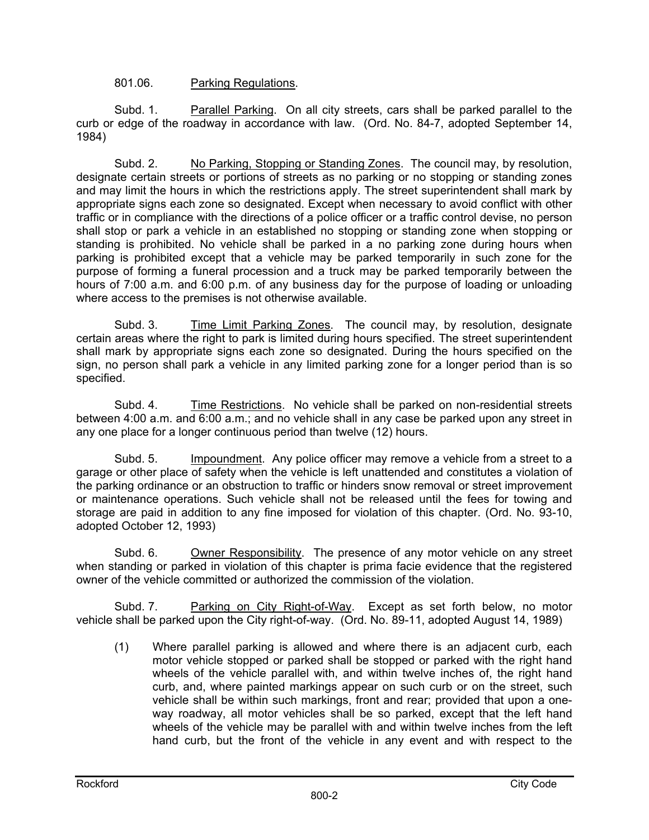### 801.06. Parking Regulations.

 Subd. 1. Parallel Parking. On all city streets, cars shall be parked parallel to the curb or edge of the roadway in accordance with law. (Ord. No. 84-7, adopted September 14, 1984)

 Subd. 2. No Parking, Stopping or Standing Zones. The council may, by resolution, designate certain streets or portions of streets as no parking or no stopping or standing zones and may limit the hours in which the restrictions apply. The street superintendent shall mark by appropriate signs each zone so designated. Except when necessary to avoid conflict with other traffic or in compliance with the directions of a police officer or a traffic control devise, no person shall stop or park a vehicle in an established no stopping or standing zone when stopping or standing is prohibited. No vehicle shall be parked in a no parking zone during hours when parking is prohibited except that a vehicle may be parked temporarily in such zone for the purpose of forming a funeral procession and a truck may be parked temporarily between the hours of 7:00 a.m. and 6:00 p.m. of any business day for the purpose of loading or unloading where access to the premises is not otherwise available.

Subd. 3. Time Limit Parking Zones. The council may, by resolution, designate certain areas where the right to park is limited during hours specified. The street superintendent shall mark by appropriate signs each zone so designated. During the hours specified on the sign, no person shall park a vehicle in any limited parking zone for a longer period than is so specified.

 Subd. 4. Time Restrictions. No vehicle shall be parked on non-residential streets between 4:00 a.m. and 6:00 a.m.; and no vehicle shall in any case be parked upon any street in any one place for a longer continuous period than twelve (12) hours.

Subd. 5. Impoundment. Any police officer may remove a vehicle from a street to a garage or other place of safety when the vehicle is left unattended and constitutes a violation of the parking ordinance or an obstruction to traffic or hinders snow removal or street improvement or maintenance operations. Such vehicle shall not be released until the fees for towing and storage are paid in addition to any fine imposed for violation of this chapter. (Ord. No. 93-10, adopted October 12, 1993)

Subd. 6. Owner Responsibility. The presence of any motor vehicle on any street when standing or parked in violation of this chapter is prima facie evidence that the registered owner of the vehicle committed or authorized the commission of the violation.

 Subd. 7. Parking on City Right-of-Way. Except as set forth below, no motor vehicle shall be parked upon the City right-of-way. (Ord. No. 89-11, adopted August 14, 1989)

(1) Where parallel parking is allowed and where there is an adjacent curb, each motor vehicle stopped or parked shall be stopped or parked with the right hand wheels of the vehicle parallel with, and within twelve inches of, the right hand curb, and, where painted markings appear on such curb or on the street, such vehicle shall be within such markings, front and rear; provided that upon a oneway roadway, all motor vehicles shall be so parked, except that the left hand wheels of the vehicle may be parallel with and within twelve inches from the left hand curb, but the front of the vehicle in any event and with respect to the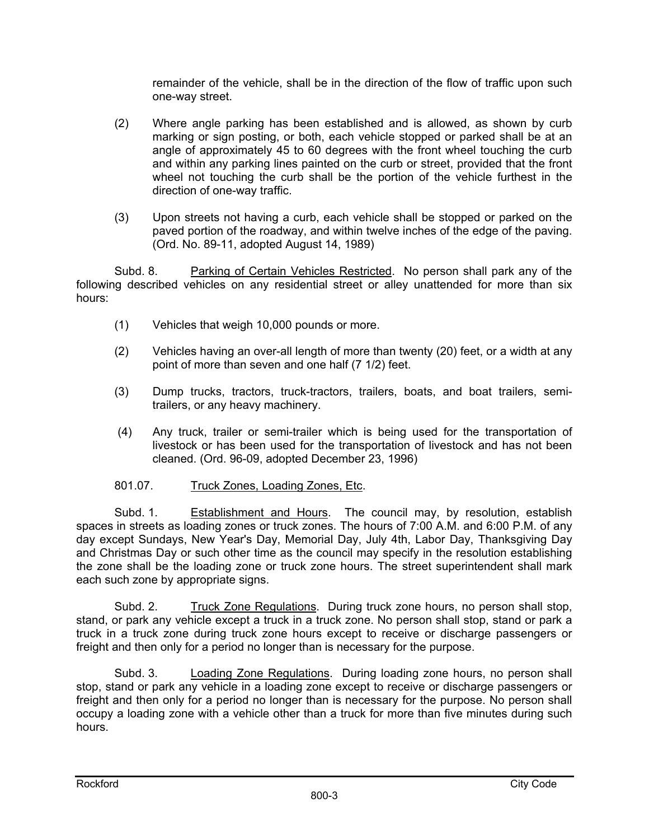remainder of the vehicle, shall be in the direction of the flow of traffic upon such one-way street.

- (2) Where angle parking has been established and is allowed, as shown by curb marking or sign posting, or both, each vehicle stopped or parked shall be at an angle of approximately 45 to 60 degrees with the front wheel touching the curb and within any parking lines painted on the curb or street, provided that the front wheel not touching the curb shall be the portion of the vehicle furthest in the direction of one-way traffic.
- (3) Upon streets not having a curb, each vehicle shall be stopped or parked on the paved portion of the roadway, and within twelve inches of the edge of the paving. (Ord. No. 89-11, adopted August 14, 1989)

 Subd. 8. Parking of Certain Vehicles Restricted. No person shall park any of the following described vehicles on any residential street or alley unattended for more than six hours:

- (1) Vehicles that weigh 10,000 pounds or more.
- (2) Vehicles having an over-all length of more than twenty (20) feet, or a width at any point of more than seven and one half (7 1/2) feet.
- (3) Dump trucks, tractors, truck-tractors, trailers, boats, and boat trailers, semitrailers, or any heavy machinery.
- (4) Any truck, trailer or semi-trailer which is being used for the transportation of livestock or has been used for the transportation of livestock and has not been cleaned. (Ord. 96-09, adopted December 23, 1996)

# 801.07. Truck Zones, Loading Zones, Etc.

 Subd. 1. Establishment and Hours. The council may, by resolution, establish spaces in streets as loading zones or truck zones. The hours of 7:00 A.M. and 6:00 P.M. of any day except Sundays, New Year's Day, Memorial Day, July 4th, Labor Day, Thanksgiving Day and Christmas Day or such other time as the council may specify in the resolution establishing the zone shall be the loading zone or truck zone hours. The street superintendent shall mark each such zone by appropriate signs.

 Subd. 2. Truck Zone Regulations. During truck zone hours, no person shall stop, stand, or park any vehicle except a truck in a truck zone. No person shall stop, stand or park a truck in a truck zone during truck zone hours except to receive or discharge passengers or freight and then only for a period no longer than is necessary for the purpose.

 Subd. 3. Loading Zone Regulations. During loading zone hours, no person shall stop, stand or park any vehicle in a loading zone except to receive or discharge passengers or freight and then only for a period no longer than is necessary for the purpose. No person shall occupy a loading zone with a vehicle other than a truck for more than five minutes during such hours.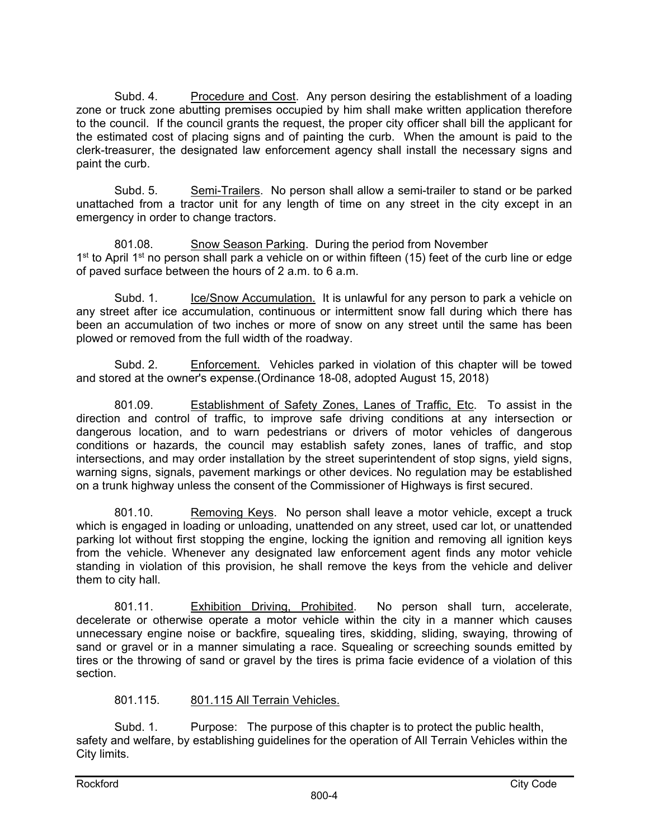Subd. 4. Procedure and Cost. Any person desiring the establishment of a loading zone or truck zone abutting premises occupied by him shall make written application therefore to the council. If the council grants the request, the proper city officer shall bill the applicant for the estimated cost of placing signs and of painting the curb. When the amount is paid to the clerk-treasurer, the designated law enforcement agency shall install the necessary signs and paint the curb.

 Subd. 5. Semi-Trailers. No person shall allow a semi-trailer to stand or be parked unattached from a tractor unit for any length of time on any street in the city except in an emergency in order to change tractors.

801.08. Show Season Parking. During the period from November 1<sup>st</sup> to April 1<sup>st</sup> no person shall park a vehicle on or within fifteen (15) feet of the curb line or edge of paved surface between the hours of 2 a.m. to 6 a.m.

Subd. 1. Ice/Snow Accumulation. It is unlawful for any person to park a vehicle on any street after ice accumulation, continuous or intermittent snow fall during which there has been an accumulation of two inches or more of snow on any street until the same has been plowed or removed from the full width of the roadway.

Subd. 2. Enforcement. Vehicles parked in violation of this chapter will be towed and stored at the owner's expense.(Ordinance 18-08, adopted August 15, 2018)

801.09. Establishment of Safety Zones, Lanes of Traffic, Etc. To assist in the direction and control of traffic, to improve safe driving conditions at any intersection or dangerous location, and to warn pedestrians or drivers of motor vehicles of dangerous conditions or hazards, the council may establish safety zones, lanes of traffic, and stop intersections, and may order installation by the street superintendent of stop signs, yield signs, warning signs, signals, pavement markings or other devices. No regulation may be established on a trunk highway unless the consent of the Commissioner of Highways is first secured.

801.10. Removing Keys. No person shall leave a motor vehicle, except a truck which is engaged in loading or unloading, unattended on any street, used car lot, or unattended parking lot without first stopping the engine, locking the ignition and removing all ignition keys from the vehicle. Whenever any designated law enforcement agent finds any motor vehicle standing in violation of this provision, he shall remove the keys from the vehicle and deliver them to city hall.

801.11. Exhibition Driving, Prohibited. No person shall turn, accelerate, decelerate or otherwise operate a motor vehicle within the city in a manner which causes unnecessary engine noise or backfire, squealing tires, skidding, sliding, swaying, throwing of sand or gravel or in a manner simulating a race. Squealing or screeching sounds emitted by tires or the throwing of sand or gravel by the tires is prima facie evidence of a violation of this section.

# 801.115. 801.115 All Terrain Vehicles.

Subd. 1. Purpose: The purpose of this chapter is to protect the public health, safety and welfare, by establishing guidelines for the operation of All Terrain Vehicles within the City limits.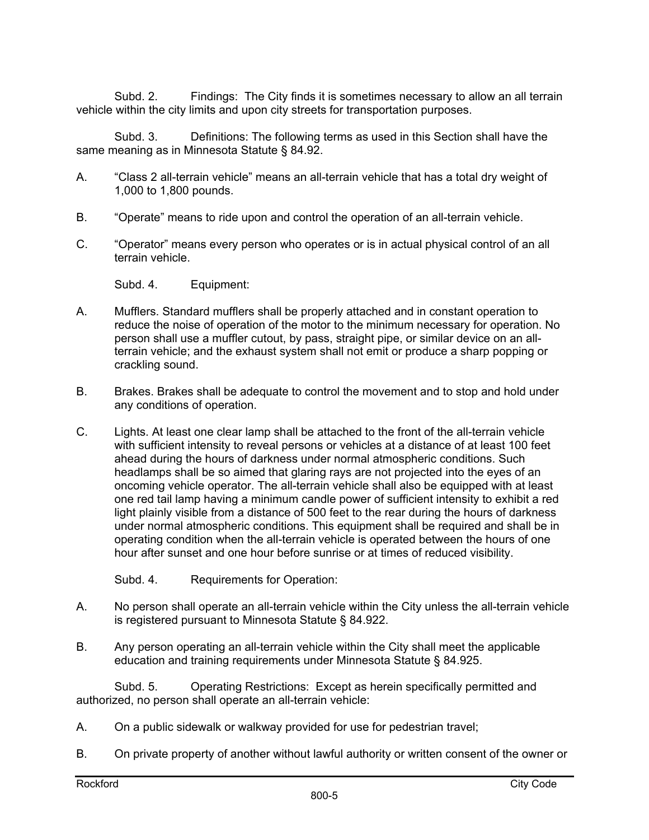Subd. 2. Findings: The City finds it is sometimes necessary to allow an all terrain vehicle within the city limits and upon city streets for transportation purposes.

Subd. 3. Definitions: The following terms as used in this Section shall have the same meaning as in Minnesota Statute § 84.92.

- A. "Class 2 all-terrain vehicle" means an all-terrain vehicle that has a total dry weight of 1,000 to 1,800 pounds.
- B. "Operate" means to ride upon and control the operation of an all-terrain vehicle.
- C. "Operator" means every person who operates or is in actual physical control of an all terrain vehicle.

Subd. 4. Equipment:

- A. Mufflers. Standard mufflers shall be properly attached and in constant operation to reduce the noise of operation of the motor to the minimum necessary for operation. No person shall use a muffler cutout, by pass, straight pipe, or similar device on an allterrain vehicle; and the exhaust system shall not emit or produce a sharp popping or crackling sound.
- B. Brakes. Brakes shall be adequate to control the movement and to stop and hold under any conditions of operation.
- C. Lights. At least one clear lamp shall be attached to the front of the all-terrain vehicle with sufficient intensity to reveal persons or vehicles at a distance of at least 100 feet ahead during the hours of darkness under normal atmospheric conditions. Such headlamps shall be so aimed that glaring rays are not projected into the eyes of an oncoming vehicle operator. The all-terrain vehicle shall also be equipped with at least one red tail lamp having a minimum candle power of sufficient intensity to exhibit a red light plainly visible from a distance of 500 feet to the rear during the hours of darkness under normal atmospheric conditions. This equipment shall be required and shall be in operating condition when the all-terrain vehicle is operated between the hours of one hour after sunset and one hour before sunrise or at times of reduced visibility.

Subd. 4. Requirements for Operation:

- A. No person shall operate an all-terrain vehicle within the City unless the all-terrain vehicle is registered pursuant to Minnesota Statute § 84.922.
- B. Any person operating an all-terrain vehicle within the City shall meet the applicable education and training requirements under Minnesota Statute § 84.925.

Subd. 5. Operating Restrictions: Except as herein specifically permitted and authorized, no person shall operate an all-terrain vehicle:

- A. On a public sidewalk or walkway provided for use for pedestrian travel;
- B. On private property of another without lawful authority or written consent of the owner or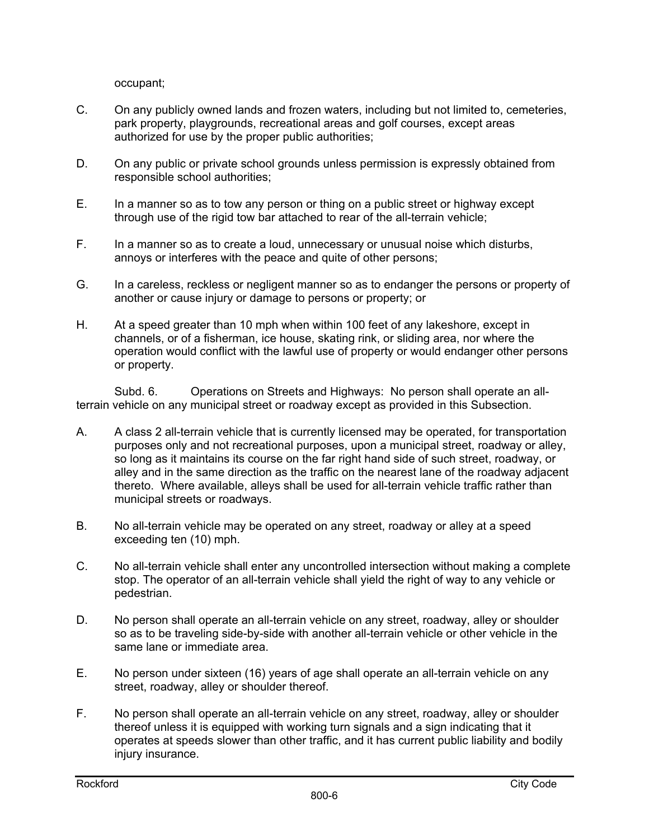occupant;

- C. On any publicly owned lands and frozen waters, including but not limited to, cemeteries, park property, playgrounds, recreational areas and golf courses, except areas authorized for use by the proper public authorities;
- D. On any public or private school grounds unless permission is expressly obtained from responsible school authorities;
- E. In a manner so as to tow any person or thing on a public street or highway except through use of the rigid tow bar attached to rear of the all-terrain vehicle;
- F. In a manner so as to create a loud, unnecessary or unusual noise which disturbs, annoys or interferes with the peace and quite of other persons;
- G. In a careless, reckless or negligent manner so as to endanger the persons or property of another or cause injury or damage to persons or property; or
- H. At a speed greater than 10 mph when within 100 feet of any lakeshore, except in channels, or of a fisherman, ice house, skating rink, or sliding area, nor where the operation would conflict with the lawful use of property or would endanger other persons or property.

Subd. 6. Operations on Streets and Highways: No person shall operate an allterrain vehicle on any municipal street or roadway except as provided in this Subsection.

- A. A class 2 all-terrain vehicle that is currently licensed may be operated, for transportation purposes only and not recreational purposes, upon a municipal street, roadway or alley, so long as it maintains its course on the far right hand side of such street, roadway, or alley and in the same direction as the traffic on the nearest lane of the roadway adjacent thereto. Where available, alleys shall be used for all-terrain vehicle traffic rather than municipal streets or roadways.
- B. No all-terrain vehicle may be operated on any street, roadway or alley at a speed exceeding ten (10) mph.
- C. No all-terrain vehicle shall enter any uncontrolled intersection without making a complete stop. The operator of an all-terrain vehicle shall yield the right of way to any vehicle or pedestrian.
- D. No person shall operate an all-terrain vehicle on any street, roadway, alley or shoulder so as to be traveling side-by-side with another all-terrain vehicle or other vehicle in the same lane or immediate area.
- E. No person under sixteen (16) years of age shall operate an all-terrain vehicle on any street, roadway, alley or shoulder thereof.
- F. No person shall operate an all-terrain vehicle on any street, roadway, alley or shoulder thereof unless it is equipped with working turn signals and a sign indicating that it operates at speeds slower than other traffic, and it has current public liability and bodily injury insurance.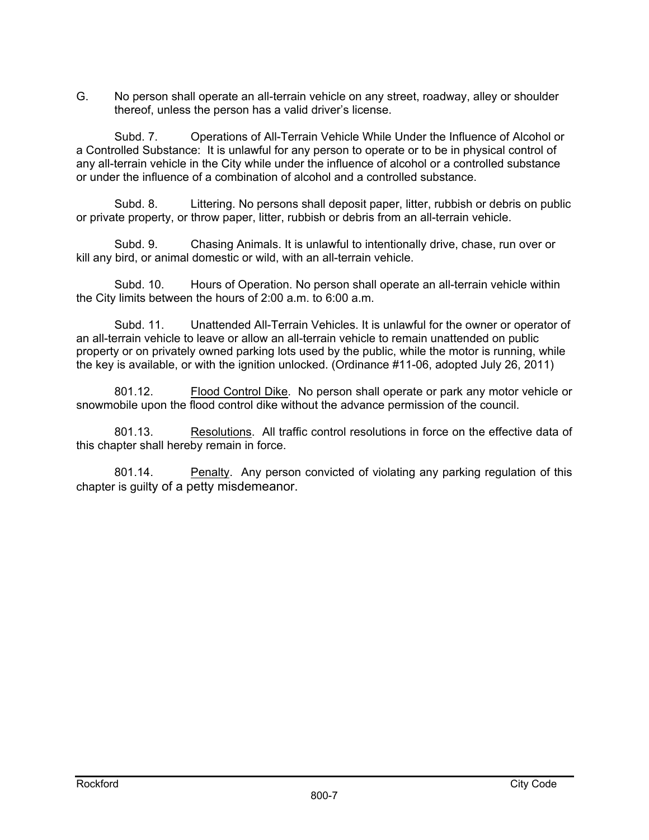G. No person shall operate an all-terrain vehicle on any street, roadway, alley or shoulder thereof, unless the person has a valid driver's license.

Subd. 7. Operations of All-Terrain Vehicle While Under the Influence of Alcohol or a Controlled Substance: It is unlawful for any person to operate or to be in physical control of any all-terrain vehicle in the City while under the influence of alcohol or a controlled substance or under the influence of a combination of alcohol and a controlled substance.

Subd. 8. Littering. No persons shall deposit paper, litter, rubbish or debris on public or private property, or throw paper, litter, rubbish or debris from an all-terrain vehicle.

Subd. 9. Chasing Animals. It is unlawful to intentionally drive, chase, run over or kill any bird, or animal domestic or wild, with an all-terrain vehicle.

Subd. 10. Hours of Operation. No person shall operate an all-terrain vehicle within the City limits between the hours of 2:00 a.m. to 6:00 a.m.

Subd. 11. Unattended All-Terrain Vehicles. It is unlawful for the owner or operator of an all-terrain vehicle to leave or allow an all-terrain vehicle to remain unattended on public property or on privately owned parking lots used by the public, while the motor is running, while the key is available, or with the ignition unlocked. (Ordinance #11-06, adopted July 26, 2011)

801.12. Flood Control Dike. No person shall operate or park any motor vehicle or snowmobile upon the flood control dike without the advance permission of the council.

801.13. Resolutions. All traffic control resolutions in force on the effective data of this chapter shall hereby remain in force.

801.14. Penalty. Any person convicted of violating any parking regulation of this chapter is guilty of a petty misdemeanor.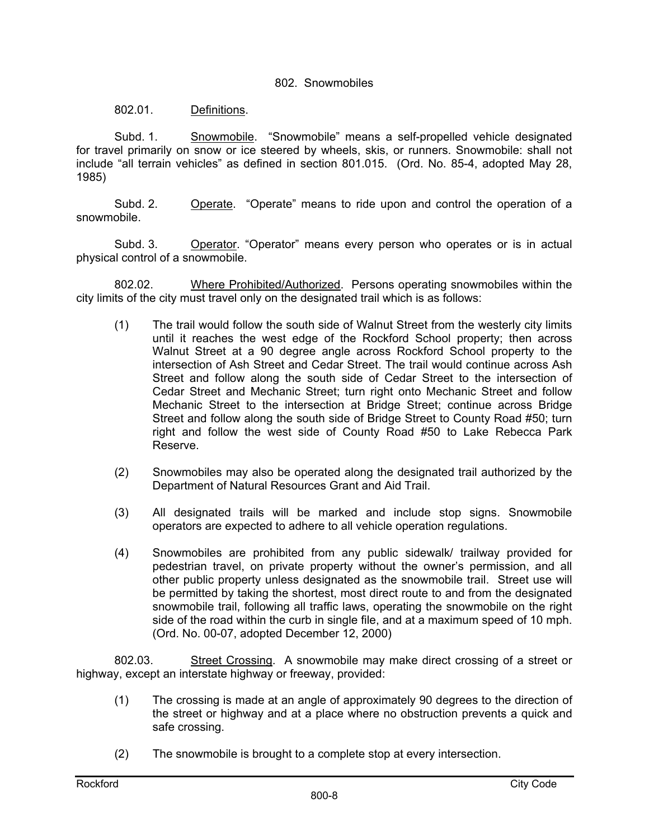#### 802. Snowmobiles

802.01. Definitions.

 Subd. 1. Snowmobile. "Snowmobile" means a self-propelled vehicle designated for travel primarily on snow or ice steered by wheels, skis, or runners. Snowmobile: shall not include "all terrain vehicles" as defined in section 801.015. (Ord. No. 85-4, adopted May 28, 1985)

Subd. 2. Operate. "Operate" means to ride upon and control the operation of a snowmobile.

Subd. 3. Operator. "Operator" means every person who operates or is in actual physical control of a snowmobile.

802.02. Where Prohibited/Authorized. Persons operating snowmobiles within the city limits of the city must travel only on the designated trail which is as follows:

- (1) The trail would follow the south side of Walnut Street from the westerly city limits until it reaches the west edge of the Rockford School property; then across Walnut Street at a 90 degree angle across Rockford School property to the intersection of Ash Street and Cedar Street. The trail would continue across Ash Street and follow along the south side of Cedar Street to the intersection of Cedar Street and Mechanic Street; turn right onto Mechanic Street and follow Mechanic Street to the intersection at Bridge Street; continue across Bridge Street and follow along the south side of Bridge Street to County Road #50; turn right and follow the west side of County Road #50 to Lake Rebecca Park Reserve.
- (2) Snowmobiles may also be operated along the designated trail authorized by the Department of Natural Resources Grant and Aid Trail.
- (3) All designated trails will be marked and include stop signs. Snowmobile operators are expected to adhere to all vehicle operation regulations.
- (4) Snowmobiles are prohibited from any public sidewalk/ trailway provided for pedestrian travel, on private property without the owner's permission, and all other public property unless designated as the snowmobile trail. Street use will be permitted by taking the shortest, most direct route to and from the designated snowmobile trail, following all traffic laws, operating the snowmobile on the right side of the road within the curb in single file, and at a maximum speed of 10 mph. (Ord. No. 00-07, adopted December 12, 2000)

802.03. Street Crossing. A snowmobile may make direct crossing of a street or highway, except an interstate highway or freeway, provided:

- (1) The crossing is made at an angle of approximately 90 degrees to the direction of the street or highway and at a place where no obstruction prevents a quick and safe crossing.
- (2) The snowmobile is brought to a complete stop at every intersection.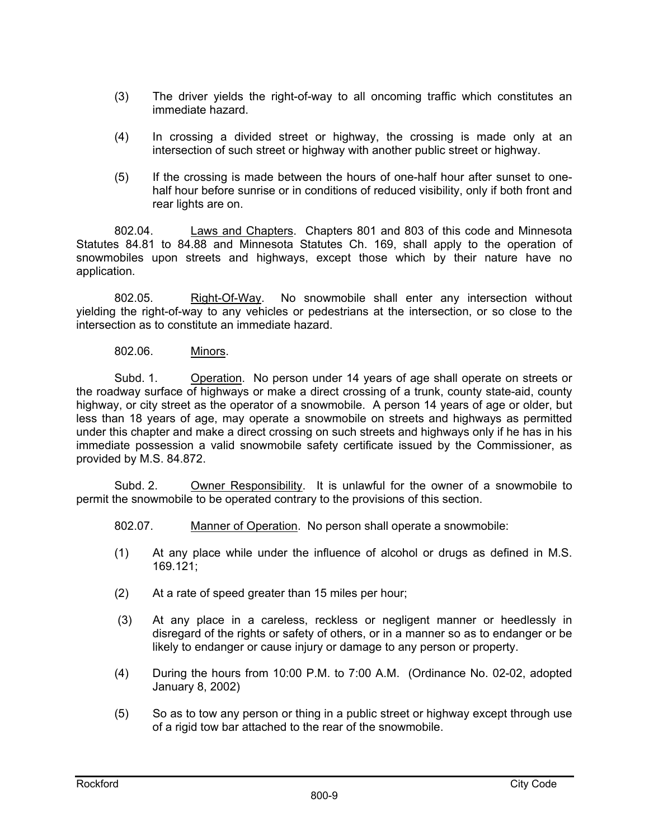- (3) The driver yields the right-of-way to all oncoming traffic which constitutes an immediate hazard.
- (4) In crossing a divided street or highway, the crossing is made only at an intersection of such street or highway with another public street or highway.
- (5) If the crossing is made between the hours of one-half hour after sunset to onehalf hour before sunrise or in conditions of reduced visibility, only if both front and rear lights are on.

802.04. Laws and Chapters. Chapters 801 and 803 of this code and Minnesota Statutes 84.81 to 84.88 and Minnesota Statutes Ch. 169, shall apply to the operation of snowmobiles upon streets and highways, except those which by their nature have no application.

802.05. Right-Of-Way. No snowmobile shall enter any intersection without yielding the right-of-way to any vehicles or pedestrians at the intersection, or so close to the intersection as to constitute an immediate hazard.

### 802.06. Minors.

Subd. 1. Operation. No person under 14 years of age shall operate on streets or the roadway surface of highways or make a direct crossing of a trunk, county state-aid, county highway, or city street as the operator of a snowmobile. A person 14 years of age or older, but less than 18 years of age, may operate a snowmobile on streets and highways as permitted under this chapter and make a direct crossing on such streets and highways only if he has in his immediate possession a valid snowmobile safety certificate issued by the Commissioner, as provided by M.S. 84.872.

 Subd. 2. Owner Responsibility. It is unlawful for the owner of a snowmobile to permit the snowmobile to be operated contrary to the provisions of this section.

- 802.07. Manner of Operation. No person shall operate a snowmobile:
- (1) At any place while under the influence of alcohol or drugs as defined in M.S. 169.121;
- (2) At a rate of speed greater than 15 miles per hour;
- (3) At any place in a careless, reckless or negligent manner or heedlessly in disregard of the rights or safety of others, or in a manner so as to endanger or be likely to endanger or cause injury or damage to any person or property.
- (4) During the hours from 10:00 P.M. to 7:00 A.M. (Ordinance No. 02-02, adopted January 8, 2002)
- (5) So as to tow any person or thing in a public street or highway except through use of a rigid tow bar attached to the rear of the snowmobile.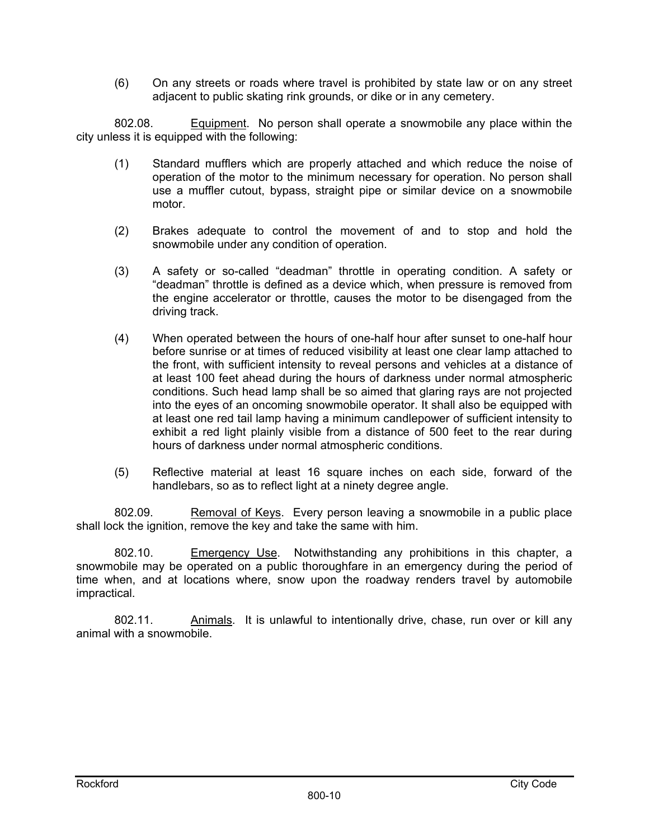(6) On any streets or roads where travel is prohibited by state law or on any street adjacent to public skating rink grounds, or dike or in any cemetery.

802.08. Equipment. No person shall operate a snowmobile any place within the city unless it is equipped with the following:

- (1) Standard mufflers which are properly attached and which reduce the noise of operation of the motor to the minimum necessary for operation. No person shall use a muffler cutout, bypass, straight pipe or similar device on a snowmobile motor.
- (2) Brakes adequate to control the movement of and to stop and hold the snowmobile under any condition of operation.
- (3) A safety or so-called "deadman" throttle in operating condition. A safety or "deadman" throttle is defined as a device which, when pressure is removed from the engine accelerator or throttle, causes the motor to be disengaged from the driving track.
- (4) When operated between the hours of one-half hour after sunset to one-half hour before sunrise or at times of reduced visibility at least one clear lamp attached to the front, with sufficient intensity to reveal persons and vehicles at a distance of at least 100 feet ahead during the hours of darkness under normal atmospheric conditions. Such head lamp shall be so aimed that glaring rays are not projected into the eyes of an oncoming snowmobile operator. It shall also be equipped with at least one red tail lamp having a minimum candlepower of sufficient intensity to exhibit a red light plainly visible from a distance of 500 feet to the rear during hours of darkness under normal atmospheric conditions.
- (5) Reflective material at least 16 square inches on each side, forward of the handlebars, so as to reflect light at a ninety degree angle.

802.09. Removal of Keys. Every person leaving a snowmobile in a public place shall lock the ignition, remove the key and take the same with him.

802.10. Emergency Use. Notwithstanding any prohibitions in this chapter, a snowmobile may be operated on a public thoroughfare in an emergency during the period of time when, and at locations where, snow upon the roadway renders travel by automobile impractical.

802.11. Animals. It is unlawful to intentionally drive, chase, run over or kill any animal with a snowmobile.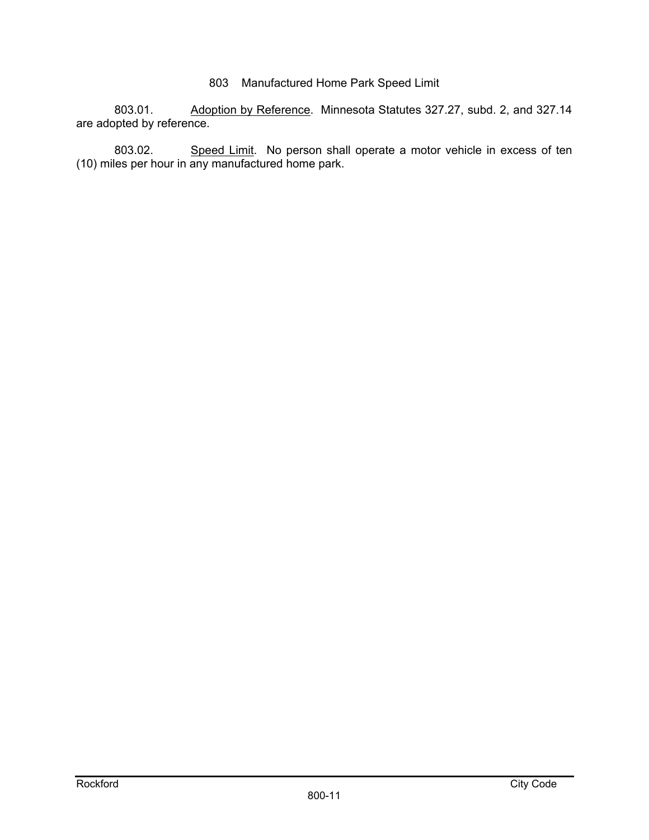## 803 Manufactured Home Park Speed Limit

803.01. Adoption by Reference. Minnesota Statutes 327.27, subd. 2, and 327.14 are adopted by reference.

803.02. Speed Limit. No person shall operate a motor vehicle in excess of ten (10) miles per hour in any manufactured home park.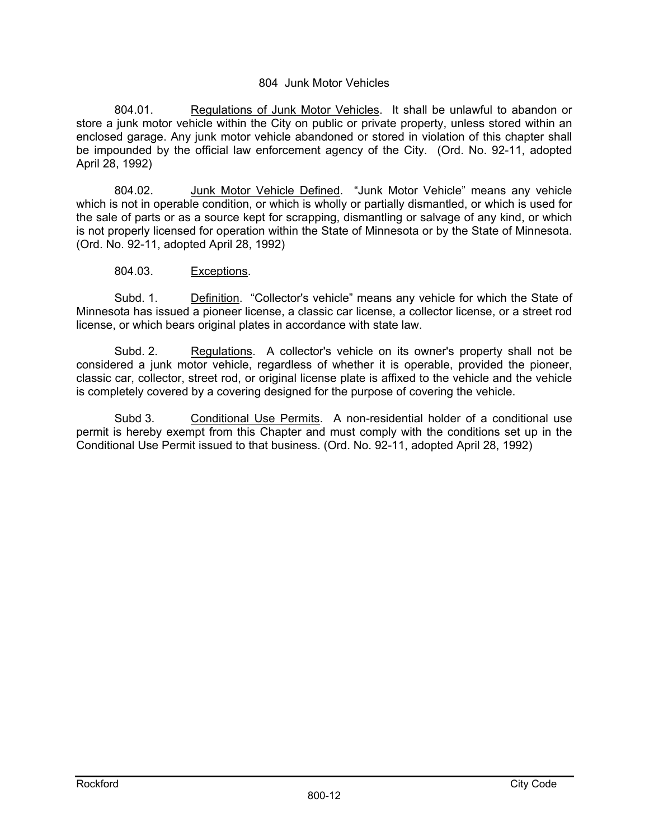#### 804 Junk Motor Vehicles

804.01. Regulations of Junk Motor Vehicles. It shall be unlawful to abandon or store a junk motor vehicle within the City on public or private property, unless stored within an enclosed garage. Any junk motor vehicle abandoned or stored in violation of this chapter shall be impounded by the official law enforcement agency of the City. (Ord. No. 92-11, adopted April 28, 1992)

804.02. Junk Motor Vehicle Defined. "Junk Motor Vehicle" means any vehicle which is not in operable condition, or which is wholly or partially dismantled, or which is used for the sale of parts or as a source kept for scrapping, dismantling or salvage of any kind, or which is not properly licensed for operation within the State of Minnesota or by the State of Minnesota. (Ord. No. 92-11, adopted April 28, 1992)

#### 804.03. Exceptions.

 Subd. 1. Definition. "Collector's vehicle" means any vehicle for which the State of Minnesota has issued a pioneer license, a classic car license, a collector license, or a street rod license, or which bears original plates in accordance with state law.

Subd. 2. Regulations. A collector's vehicle on its owner's property shall not be considered a junk motor vehicle, regardless of whether it is operable, provided the pioneer, classic car, collector, street rod, or original license plate is affixed to the vehicle and the vehicle is completely covered by a covering designed for the purpose of covering the vehicle.

Subd 3. Conditional Use Permits. A non-residential holder of a conditional use permit is hereby exempt from this Chapter and must comply with the conditions set up in the Conditional Use Permit issued to that business. (Ord. No. 92-11, adopted April 28, 1992)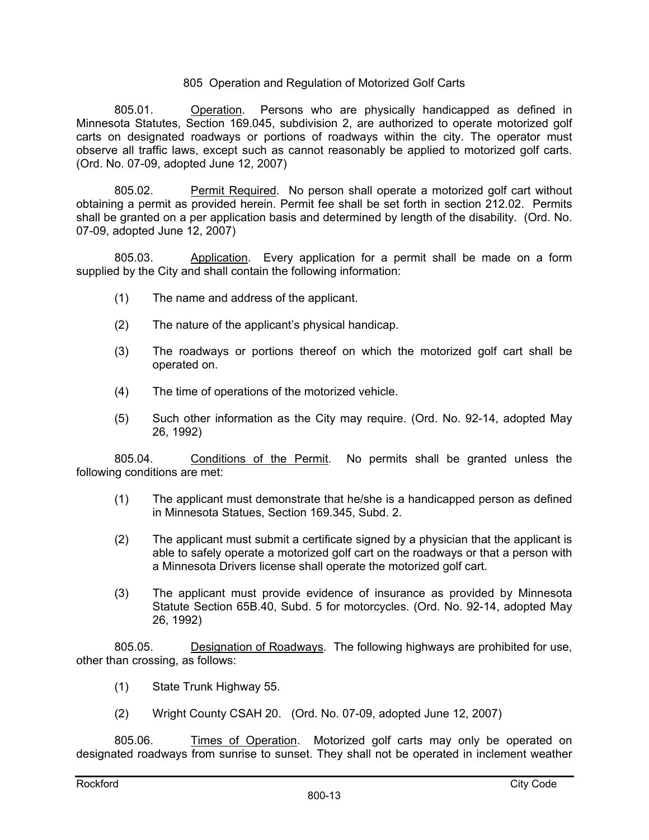#### 805 Operation and Regulation of Motorized Golf Carts

805.01. Operation. Persons who are physically handicapped as defined in Minnesota Statutes, Section 169.045, subdivision 2, are authorized to operate motorized golf carts on designated roadways or portions of roadways within the city. The operator must observe all traffic laws, except such as cannot reasonably be applied to motorized golf carts. (Ord. No. 07-09, adopted June 12, 2007)

805.02. Permit Required. No person shall operate a motorized golf cart without obtaining a permit as provided herein. Permit fee shall be set forth in section 212.02. Permits shall be granted on a per application basis and determined by length of the disability. (Ord. No. 07-09, adopted June 12, 2007)

805.03. Application. Every application for a permit shall be made on a form supplied by the City and shall contain the following information:

- (1) The name and address of the applicant.
- (2) The nature of the applicant's physical handicap.
- (3) The roadways or portions thereof on which the motorized golf cart shall be operated on.
- (4) The time of operations of the motorized vehicle.
- (5) Such other information as the City may require. (Ord. No. 92-14, adopted May 26, 1992)

805.04. Conditions of the Permit. No permits shall be granted unless the following conditions are met:

- (1) The applicant must demonstrate that he/she is a handicapped person as defined in Minnesota Statues, Section 169.345, Subd. 2.
- (2) The applicant must submit a certificate signed by a physician that the applicant is able to safely operate a motorized golf cart on the roadways or that a person with a Minnesota Drivers license shall operate the motorized golf cart.
- (3) The applicant must provide evidence of insurance as provided by Minnesota Statute Section 65B.40, Subd. 5 for motorcycles. (Ord. No. 92-14, adopted May 26, 1992)

805.05. Designation of Roadways. The following highways are prohibited for use, other than crossing, as follows:

- (1) State Trunk Highway 55.
- (2) Wright County CSAH 20. (Ord. No. 07-09, adopted June 12, 2007)

805.06. Times of Operation. Motorized golf carts may only be operated on designated roadways from sunrise to sunset. They shall not be operated in inclement weather